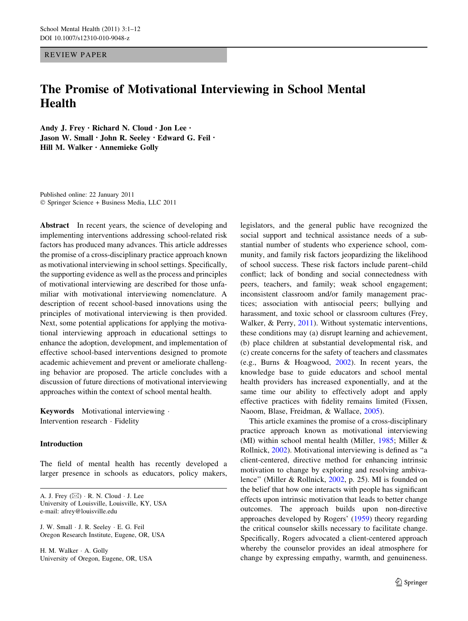REVIEW PAPER

# The Promise of Motivational Interviewing in School Mental Health

Andy J. Frey • Richard N. Cloud • Jon Lee • Jason W. Small • John R. Seeley • Edward G. Feil • Hill M. Walker • Annemieke Golly

Published online: 22 January 2011 - Springer Science + Business Media, LLC 2011

Abstract In recent years, the science of developing and implementing interventions addressing school-related risk factors has produced many advances. This article addresses the promise of a cross-disciplinary practice approach known as motivational interviewing in school settings. Specifically, the supporting evidence as well as the process and principles of motivational interviewing are described for those unfamiliar with motivational interviewing nomenclature. A description of recent school-based innovations using the principles of motivational interviewing is then provided. Next, some potential applications for applying the motivational interviewing approach in educational settings to enhance the adoption, development, and implementation of effective school-based interventions designed to promote academic achievement and prevent or ameliorate challenging behavior are proposed. The article concludes with a discussion of future directions of motivational interviewing approaches within the context of school mental health.

Keywords Motivational interviewing . Intervention research - Fidelity

# Introduction

The field of mental health has recently developed a larger presence in schools as educators, policy makers,

A. J. Frey  $(\boxtimes) \cdot R$ . N. Cloud  $\cdot$  J. Lee University of Louisville, Louisville, KY, USA e-mail: afrey@louisville.edu

J. W. Small - J. R. Seeley - E. G. Feil Oregon Research Institute, Eugene, OR, USA

H. M. Walker - A. Golly University of Oregon, Eugene, OR, USA legislators, and the general public have recognized the social support and technical assistance needs of a substantial number of students who experience school, community, and family risk factors jeopardizing the likelihood of school success. These risk factors include parent–child conflict; lack of bonding and social connectedness with peers, teachers, and family; weak school engagement; inconsistent classroom and/or family management practices; association with antisocial peers; bullying and harassment, and toxic school or classroom cultures (Frey, Walker, & Perry, [2011](#page-10-0)). Without systematic interventions, these conditions may (a) disrupt learning and achievement, (b) place children at substantial developmental risk, and (c) create concerns for the safety of teachers and classmates (e.g., Burns & Hoagwood, [2002\)](#page-9-0). In recent years, the knowledge base to guide educators and school mental health providers has increased exponentially, and at the same time our ability to effectively adopt and apply effective practices with fidelity remains limited (Fixsen, Naoom, Blase, Freidman, & Wallace, [2005](#page-10-0)).

This article examines the promise of a cross-disciplinary practice approach known as motivational interviewing (MI) within school mental health (Miller, [1985](#page-10-0); Miller & Rollnick, [2002\)](#page-10-0). Motivational interviewing is defined as ''a client-centered, directive method for enhancing intrinsic motivation to change by exploring and resolving ambivalence'' (Miller & Rollnick, [2002](#page-10-0), p. 25). MI is founded on the belief that how one interacts with people has significant effects upon intrinsic motivation that leads to better change outcomes. The approach builds upon non-directive approaches developed by Rogers' [\(1959](#page-11-0)) theory regarding the critical counselor skills necessary to facilitate change. Specifically, Rogers advocated a client-centered approach whereby the counselor provides an ideal atmosphere for change by expressing empathy, warmth, and genuineness.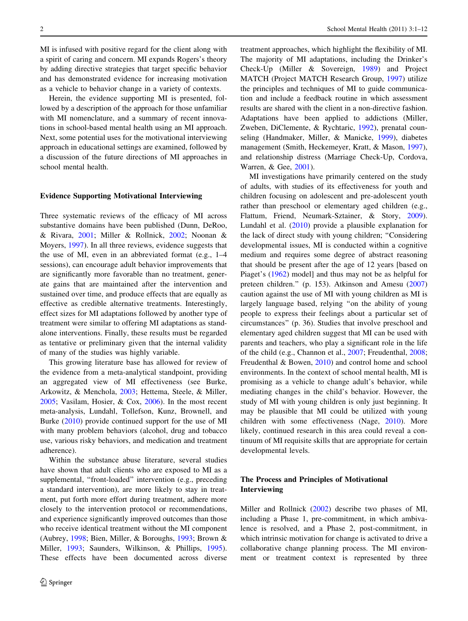MI is infused with positive regard for the client along with a spirit of caring and concern. MI expands Rogers's theory by adding directive strategies that target specific behavior and has demonstrated evidence for increasing motivation as a vehicle to behavior change in a variety of contexts.

Herein, the evidence supporting MI is presented, followed by a description of the approach for those unfamiliar with MI nomenclature, and a summary of recent innovations in school-based mental health using an MI approach. Next, some potential uses for the motivational interviewing approach in educational settings are examined, followed by a discussion of the future directions of MI approaches in school mental health.

# Evidence Supporting Motivational Interviewing

Three systematic reviews of the efficacy of MI across substantive domains have been published (Dunn, DeRoo, & Rivara, [2001;](#page-9-0) Miller & Rollnick, [2002](#page-10-0); Noonan & Moyers, [1997\)](#page-10-0). In all three reviews, evidence suggests that the use of MI, even in an abbreviated format (e.g., 1–4 sessions), can encourage adult behavior improvements that are significantly more favorable than no treatment, generate gains that are maintained after the intervention and sustained over time, and produce effects that are equally as effective as credible alternative treatments. Interestingly, effect sizes for MI adaptations followed by another type of treatment were similar to offering MI adaptations as standalone interventions. Finally, these results must be regarded as tentative or preliminary given that the internal validity of many of the studies was highly variable.

This growing literature base has allowed for review of the evidence from a meta-analytical standpoint, providing an aggregated view of MI effectiveness (see Burke, Arkowitz, & Menchola, [2003;](#page-9-0) Hettema, Steele, & Miller, [2005;](#page-10-0) Vasilam, Hosier, & Cox, [2006](#page-11-0)). In the most recent meta-analysis, Lundahl, Tollefson, Kunz, Brownell, and Burke [\(2010\)](#page-10-0) provide continued support for the use of MI with many problem behaviors (alcohol, drug and tobacco use, various risky behaviors, and medication and treatment adherence).

Within the substance abuse literature, several studies have shown that adult clients who are exposed to MI as a supplemental, ''front-loaded'' intervention (e.g., preceding a standard intervention), are more likely to stay in treatment, put forth more effort during treatment, adhere more closely to the intervention protocol or recommendations, and experience significantly improved outcomes than those who receive identical treatment without the MI component (Aubrey, [1998;](#page-9-0) Bien, Miller, & Boroughs, [1993](#page-9-0); Brown & Miller, [1993;](#page-9-0) Saunders, Wilkinson, & Phillips, [1995](#page-11-0)). These effects have been documented across diverse treatment approaches, which highlight the flexibility of MI. The majority of MI adaptations, including the Drinker's Check-Up (Miller & Sovereign, [1989\)](#page-10-0) and Project MATCH (Project MATCH Research Group, [1997](#page-10-0)) utilize the principles and techniques of MI to guide communication and include a feedback routine in which assessment results are shared with the client in a non-directive fashion. Adaptations have been applied to addictions (Miller, Zweben, DiClemente, & Rychtaric, [1992\)](#page-10-0), prenatal counseling (Handmaker, Miller, & Manicke, [1999\)](#page-10-0), diabetes management (Smith, Heckemeyer, Kratt, & Mason, [1997](#page-11-0)), and relationship distress (Marriage Check-Up, Cordova, Warren, & Gee, [2001](#page-9-0)).

MI investigations have primarily centered on the study of adults, with studies of its effectiveness for youth and children focusing on adolescent and pre-adolescent youth rather than preschool or elementary aged children (e.g., Flattum, Friend, Neumark-Sztainer, & Story, [2009](#page-10-0)). Lundahl et al. ([2010\)](#page-10-0) provide a plausible explanation for the lack of direct study with young children; ''Considering developmental issues, MI is conducted within a cognitive medium and requires some degree of abstract reasoning that should be present after the age of 12 years [based on Piaget's ([1962\)](#page-10-0) model] and thus may not be as helpful for preteen children.'' (p. 153). Atkinson and Amesu ([2007\)](#page-9-0) caution against the use of MI with young children as MI is largely language based, relying ''on the ability of young people to express their feelings about a particular set of circumstances'' (p. 36). Studies that involve preschool and elementary aged children suggest that MI can be used with parents and teachers, who play a significant role in the life of the child (e.g., Channon et al., [2007;](#page-9-0) Freudenthal, [2008](#page-10-0); Freudenthal & Bowen, [2010](#page-10-0)) and control home and school environments. In the context of school mental health, MI is promising as a vehicle to change adult's behavior, while mediating changes in the child's behavior. However, the study of MI with young children is only just beginning. It may be plausible that MI could be utilized with young children with some effectiveness (Nage, [2010](#page-10-0)). More likely, continued research in this area could reveal a continuum of MI requisite skills that are appropriate for certain developmental levels.

# The Process and Principles of Motivational Interviewing

Miller and Rollnick [\(2002](#page-10-0)) describe two phases of MI, including a Phase 1, pre-commitment, in which ambivalence is resolved, and a Phase 2, post-commitment, in which intrinsic motivation for change is activated to drive a collaborative change planning process. The MI environment or treatment context is represented by three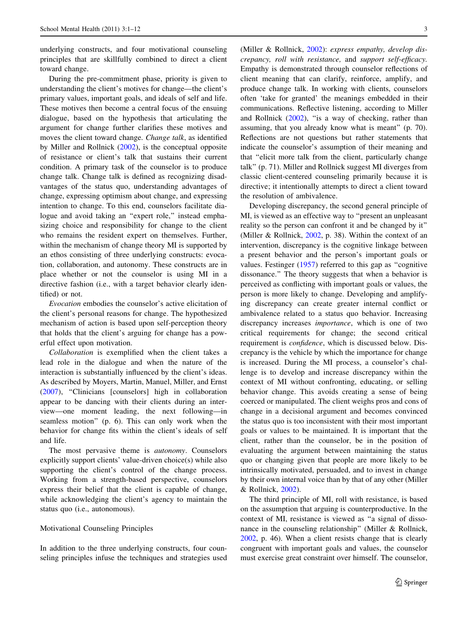underlying constructs, and four motivational counseling principles that are skillfully combined to direct a client toward change.

During the pre-commitment phase, priority is given to understanding the client's motives for change—the client's primary values, important goals, and ideals of self and life. These motives then become a central focus of the ensuing dialogue, based on the hypothesis that articulating the argument for change further clarifies these motives and moves the client toward change. Change talk, as identified by Miller and Rollnick ([2002\)](#page-10-0), is the conceptual opposite of resistance or client's talk that sustains their current condition. A primary task of the counselor is to produce change talk. Change talk is defined as recognizing disadvantages of the status quo, understanding advantages of change, expressing optimism about change, and expressing intention to change. To this end, counselors facilitate dialogue and avoid taking an "expert role," instead emphasizing choice and responsibility for change to the client who remains the resident expert on themselves. Further, within the mechanism of change theory MI is supported by an ethos consisting of three underlying constructs: evocation, collaboration, and autonomy. These constructs are in place whether or not the counselor is using MI in a directive fashion (i.e., with a target behavior clearly identified) or not.

Evocation embodies the counselor's active elicitation of the client's personal reasons for change. The hypothesized mechanism of action is based upon self-perception theory that holds that the client's arguing for change has a powerful effect upon motivation.

Collaboration is exemplified when the client takes a lead role in the dialogue and when the nature of the interaction is substantially influenced by the client's ideas. As described by Moyers, Martin, Manuel, Miller, and Ernst [\(2007](#page-10-0)), ''Clinicians [counselors] high in collaboration appear to be dancing with their clients during an interview—one moment leading, the next following—in seamless motion'' (p. 6). This can only work when the behavior for change fits within the client's ideals of self and life.

The most pervasive theme is *autonomy*. Counselors explicitly support clients' value-driven choice(s) while also supporting the client's control of the change process. Working from a strength-based perspective, counselors express their belief that the client is capable of change, while acknowledging the client's agency to maintain the status quo (i.e., autonomous).

# Motivational Counseling Principles

In addition to the three underlying constructs, four counseling principles infuse the techniques and strategies used (Miller & Rollnick, [2002\)](#page-10-0): express empathy, develop discrepancy, roll with resistance, and support self-efficacy. Empathy is demonstrated through counselor reflections of client meaning that can clarify, reinforce, amplify, and produce change talk. In working with clients, counselors often 'take for granted' the meanings embedded in their communications. Reflective listening, according to Miller and Rollnick [\(2002](#page-10-0)), "is a way of checking, rather than assuming, that you already know what is meant'' (p. 70). Reflections are not questions but rather statements that indicate the counselor's assumption of their meaning and that ''elicit more talk from the client, particularly change talk'' (p. 71). Miller and Rollnick suggest MI diverges from classic client-centered counseling primarily because it is directive; it intentionally attempts to direct a client toward the resolution of ambivalence.

Developing discrepancy, the second general principle of MI, is viewed as an effective way to ''present an unpleasant reality so the person can confront it and be changed by it'' (Miller & Rollnick, [2002,](#page-10-0) p. 38). Within the context of an intervention, discrepancy is the cognitive linkage between a present behavior and the person's important goals or values. Festinger [\(1957](#page-10-0)) referred to this gap as ''cognitive dissonance.'' The theory suggests that when a behavior is perceived as conflicting with important goals or values, the person is more likely to change. Developing and amplifying discrepancy can create greater internal conflict or ambivalence related to a status quo behavior. Increasing discrepancy increases importance, which is one of two critical requirements for change; the second critical requirement is confidence, which is discussed below. Discrepancy is the vehicle by which the importance for change is increased. During the MI process, a counselor's challenge is to develop and increase discrepancy within the context of MI without confronting, educating, or selling behavior change. This avoids creating a sense of being coerced or manipulated. The client weighs pros and cons of change in a decisional argument and becomes convinced the status quo is too inconsistent with their most important goals or values to be maintained. It is important that the client, rather than the counselor, be in the position of evaluating the argument between maintaining the status quo or changing given that people are more likely to be intrinsically motivated, persuaded, and to invest in change by their own internal voice than by that of any other (Miller & Rollnick, [2002\)](#page-10-0).

The third principle of MI, roll with resistance, is based on the assumption that arguing is counterproductive. In the context of MI, resistance is viewed as ''a signal of dissonance in the counseling relationship'' (Miller & Rollnick, [2002](#page-10-0), p. 46). When a client resists change that is clearly congruent with important goals and values, the counselor must exercise great constraint over himself. The counselor,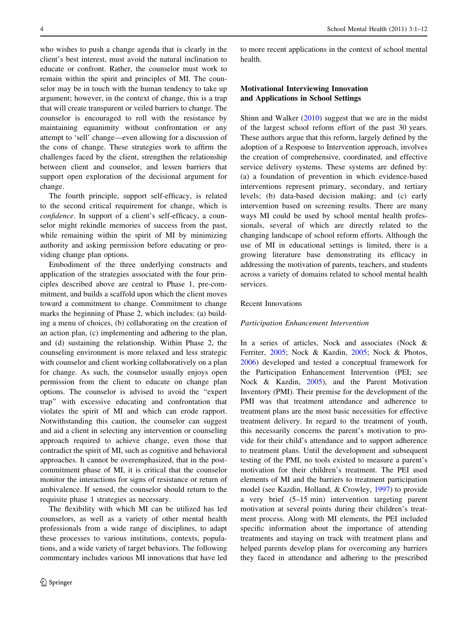who wishes to push a change agenda that is clearly in the client's best interest, must avoid the natural inclination to educate or confront. Rather, the counselor must work to remain within the spirit and principles of MI. The counselor may be in touch with the human tendency to take up argument; however, in the context of change, this is a trap that will create transparent or veiled barriers to change. The counselor is encouraged to roll with the resistance by maintaining equanimity without confrontation or any attempt to 'sell' change—even allowing for a discussion of the cons of change. These strategies work to affirm the challenges faced by the client, strengthen the relationship between client and counselor, and lessen barriers that support open exploration of the decisional argument for change.

The fourth principle, support self-efficacy, is related to the second critical requirement for change, which is confidence. In support of a client's self-efficacy, a counselor might rekindle memories of success from the past, while remaining within the spirit of MI by minimizing authority and asking permission before educating or providing change plan options.

Embodiment of the three underlying constructs and application of the strategies associated with the four principles described above are central to Phase 1, pre-commitment, and builds a scaffold upon which the client moves toward a commitment to change. Commitment to change marks the beginning of Phase 2, which includes: (a) building a menu of choices, (b) collaborating on the creation of an action plan, (c) implementing and adhering to the plan, and (d) sustaining the relationship. Within Phase 2, the counseling environment is more relaxed and less strategic with counselor and client working collaboratively on a plan for change. As such, the counselor usually enjoys open permission from the client to educate on change plan options. The counselor is advised to avoid the ''expert trap'' with excessive educating and confrontation that violates the spirit of MI and which can erode rapport. Notwithstanding this caution, the counselor can suggest and aid a client in selecting any intervention or counseling approach required to achieve change, even those that contradict the spirit of MI, such as cognitive and behavioral approaches. It cannot be overemphasized, that in the postcommitment phase of MI, it is critical that the counselor monitor the interactions for signs of resistance or return of ambivalence. If sensed, the counselor should return to the requisite phase 1 strategies as necessary.

The flexibility with which MI can be utilized has led counselors, as well as a variety of other mental health professionals from a wide range of disciplines, to adapt these processes to various institutions, contexts, populations, and a wide variety of target behaviors. The following commentary includes various MI innovations that have led

to more recent applications in the context of school mental health.

# Motivational Interviewing Innovation and Applications in School Settings

Shinn and Walker  $(2010)$  $(2010)$  suggest that we are in the midst of the largest school reform effort of the past 30 years. These authors argue that this reform, largely defined by the adoption of a Response to Intervention approach, involves the creation of comprehensive, coordinated, and effective service delivery systems. These systems are defined by: (a) a foundation of prevention in which evidence-based interventions represent primary, secondary, and tertiary levels; (b) data-based decision making; and (c) early intervention based on screening results. There are many ways MI could be used by school mental health professionals, several of which are directly related to the changing landscape of school reform efforts. Although the use of MI in educational settings is limited, there is a growing literature base demonstrating its efficacy in addressing the motivation of parents, teachers, and students across a variety of domains related to school mental health services.

# Recent Innovations

## Participation Enhancement Intervention

In a series of articles, Nock and associates (Nock & Ferriter, [2005;](#page-10-0) Nock & Kazdin, [2005](#page-10-0); Nock & Photos, [2006](#page-10-0)) developed and tested a conceptual framework for the Participation Enhancement Intervention (PEI; see Nock & Kazdin, [2005](#page-10-0)), and the Parent Motivation Inventory (PMI). Their premise for the development of the PMI was that treatment attendance and adherence to treatment plans are the most basic necessities for effective treatment delivery. In regard to the treatment of youth, this necessarily concerns the parent's motivation to provide for their child's attendance and to support adherence to treatment plans. Until the development and subsequent testing of the PMI, no tools existed to measure a parent's motivation for their children's treatment. The PEI used elements of MI and the barriers to treatment participation model (see Kazdin, Holland, & Crowley, [1997](#page-10-0)) to provide a very brief (5–15 min) intervention targeting parent motivation at several points during their children's treatment process. Along with MI elements, the PEI included specific information about the importance of attending treatments and staying on track with treatment plans and helped parents develop plans for overcoming any barriers they faced in attendance and adhering to the prescribed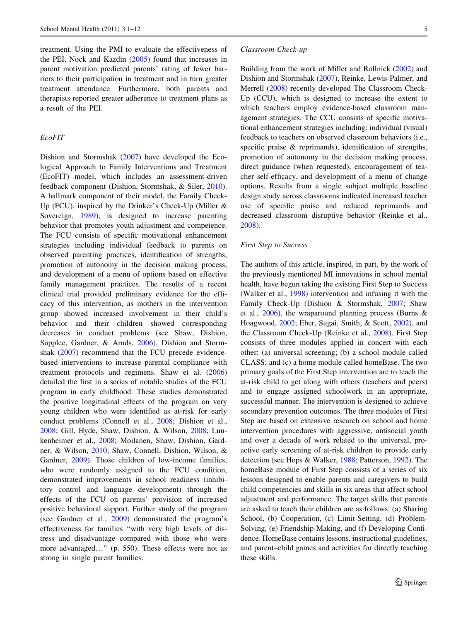treatment. Using the PMI to evaluate the effectiveness of the PEI, Nock and Kazdin ([2005\)](#page-10-0) found that increases in parent motivation predicted parents' rating of fewer barriers to their participation in treatment and in turn greater treatment attendance. Furthermore, both parents and therapists reported greater adherence to treatment plans as a result of the PEI.

# EcoFIT

Dishion and Stormshak ([2007\)](#page-9-0) have developed the Ecological Approach to Family Interventions and Treatment (EcoFIT) model, which includes an assessment-driven feedback component (Dishion, Stormshak, & Siler, [2010](#page-9-0)). A hallmark component of their model, the Family Check-Up (FCU), inspired by the Drinker's Check-Up (Miller & Sovereign, [1989](#page-10-0)), is designed to increase parenting behavior that promotes youth adjustment and competence. The FCU consists of specific motivational enhancement strategies including individual feedback to parents on observed parenting practices, identification of strengths, promotion of autonomy in the decision making process, and development of a menu of options based on effective family management practices. The results of a recent clinical trial provided preliminary evidence for the efficacy of this intervention, as mothers in the intervention group showed increased involvement in their child's behavior and their children showed corresponding decreases in conduct problems (see Shaw, Dishion, Supplee, Gardner, & Arnds, [2006\)](#page-11-0). Dishion and Stormshak ([2007\)](#page-9-0) recommend that the FCU precede evidencebased interventions to increase parental compliance with treatment protocols and regimens. Shaw et al. ([2006\)](#page-11-0) detailed the first in a series of notable studies of the FCU program in early childhood. These studies demonstrated the positive longitudinal effects of the program on very young children who were identified as at-risk for early conduct problems (Connell et al., [2008;](#page-9-0) Dishion et al., [2008;](#page-9-0) Gill, Hyde, Shaw, Dishion, & Wilson, [2008;](#page-10-0) Lunkenheimer et al., [2008;](#page-10-0) Moilanen, Shaw, Dishion, Gardner, & Wilson, [2010](#page-10-0); Shaw, Connell, Dishion, Wilson, & Gardner, [2009](#page-11-0)). Those children of low-income families, who were randomly assigned to the FCU condition, demonstrated improvements in school readiness (inhibitory control and language development) through the effects of the FCU on parents' provision of increased positive behavioral support. Further study of the program (see Gardner et al., [2009\)](#page-10-0) demonstrated the program's effectiveness for families ''with very high levels of distress and disadvantage compared with those who were more advantaged…'' (p. 550). These effects were not as strong in single parent families.

#### Classroom Check-up

Building from the work of Miller and Rollnick [\(2002](#page-10-0)) and Dishion and Stormshak [\(2007](#page-9-0)), Reinke, Lewis-Palmer, and Merrell ([2008\)](#page-11-0) recently developed The Classroom Check-Up (CCU), which is designed to increase the extent to which teachers employ evidence-based classroom management strategies. The CCU consists of specific motivational enhancement strategies including: individual (visual) feedback to teachers on observed classroom behaviors (i.e., specific praise & reprimands), identification of strengths, promotion of autonomy in the decision making process, direct guidance (when requested), encouragement of teacher self-efficacy, and development of a menu of change options. Results from a single subject multiple baseline design study across classrooms indicated increased teacher use of specific praise and reduced reprimands and decreased classroom disruptive behavior (Reinke et al., [2008](#page-11-0)).

# First Step to Success

The authors of this article, inspired, in part, by the work of the previously mentioned MI innovations in school mental health, have begun taking the existing First Step to Success (Walker et al., [1998\)](#page-11-0) intervention and infusing it with the Family Check-Up (Dishion & Stormshak, [2007](#page-9-0); Shaw et al., [2006\)](#page-11-0), the wraparound planning process (Burns & Hoagwood, [2002](#page-9-0); Eber, Sugai, Smith, & Scott, [2002\)](#page-9-0), and the Classroom Check-Up (Reinke et al., [2008](#page-11-0)). First Step consists of three modules applied in concert with each other: (a) universal screening; (b) a school module called CLASS; and (c) a home module called homeBase. The two primary goals of the First Step intervention are to teach the at-risk child to get along with others (teachers and peers) and to engage assigned schoolwork in an appropriate, successful manner. The intervention is designed to achieve secondary prevention outcomes. The three modules of First Step are based on extensive research on school and home intervention procedures with aggressive, antisocial youth and over a decade of work related to the universal, proactive early screening of at-risk children to provide early detection (see Hops & Walker, [1988;](#page-10-0) Patterson, [1992](#page-10-0)). The homeBase module of First Step consists of a series of six lessons designed to enable parents and caregivers to build child competencies and skills in six areas that affect school adjustment and performance. The target skills that parents are asked to teach their children are as follows: (a) Sharing School, (b) Cooperation, (c) Limit-Setting, (d) Problem-Solving, (e) Friendship-Making, and (f) Developing Confidence. HomeBase contains lessons, instructional guidelines, and parent–child games and activities for directly teaching these skills.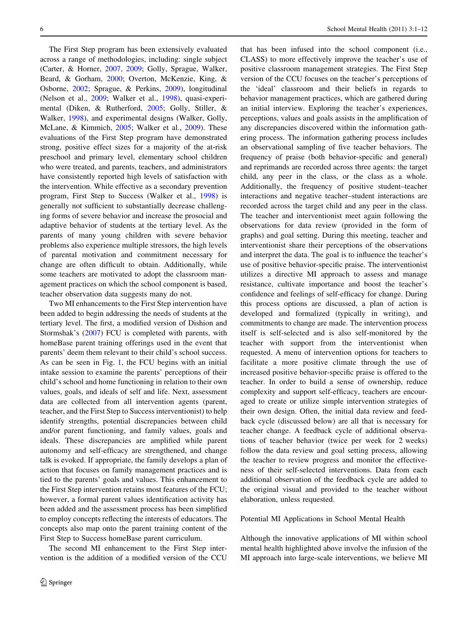The First Step program has been extensively evaluated across a range of methodologies, including: single subject (Carter, & Horner, [2007,](#page-9-0) [2009;](#page-9-0) Golly, Sprague, Walker, Beard, & Gorham, [2000;](#page-10-0) Overton, McKenzie, King, & Osborne, [2002](#page-10-0); Sprague, & Perkins, [2009\)](#page-11-0), longitudinal (Nelson et al., [2009;](#page-10-0) Walker et al., [1998\)](#page-11-0), quasi-experimental (Diken, & Rutherford, [2005;](#page-9-0) Golly, Stiller, & Walker, [1998\)](#page-10-0), and experimental designs (Walker, Golly, McLane, & Kimmich, [2005](#page-11-0); Walker et al., [2009](#page-11-0)). These evaluations of the First Step program have demonstrated strong, positive effect sizes for a majority of the at-risk preschool and primary level, elementary school children who were treated, and parents, teachers, and administrators have consistently reported high levels of satisfaction with the intervention. While effective as a secondary prevention program, First Step to Success (Walker et al., [1998](#page-11-0)) is generally not sufficient to substantially decrease challenging forms of severe behavior and increase the prosocial and adaptive behavior of students at the tertiary level. As the parents of many young children with severe behavior problems also experience multiple stressors, the high levels of parental motivation and commitment necessary for change are often difficult to obtain. Additionally, while some teachers are motivated to adopt the classroom management practices on which the school component is based, teacher observation data suggests many do not.

Two MI enhancements to the First Step intervention have been added to begin addressing the needs of students at the tertiary level. The first, a modified version of Dishion and Stormshak's [\(2007](#page-9-0)) FCU is completed with parents, with homeBase parent training offerings used in the event that parents' deem them relevant to their child's school success. As can be seen in Fig. [1,](#page-6-0) the FCU begins with an initial intake session to examine the parents' perceptions of their child's school and home functioning in relation to their own values, goals, and ideals of self and life. Next, assessment data are collected from all intervention agents (parent, teacher, and the First Step to Success interventionist) to help identify strengths, potential discrepancies between child and/or parent functioning, and family values, goals and ideals. These discrepancies are amplified while parent autonomy and self-efficacy are strengthened, and change talk is evoked. If appropriate, the family develops a plan of action that focuses on family management practices and is tied to the parents' goals and values. This enhancement to the First Step intervention retains most features of the FCU; however, a formal parent values identification activity has been added and the assessment process has been simplified to employ concepts reflecting the interests of educators. The concepts also map onto the parent training content of the First Step to Success homeBase parent curriculum.

The second MI enhancement to the First Step intervention is the addition of a modified version of the CCU

that has been infused into the school component (i.e., CLASS) to more effectively improve the teacher's use of positive classroom management strategies. The First Step version of the CCU focuses on the teacher's perceptions of the 'ideal' classroom and their beliefs in regards to behavior management practices, which are gathered during an initial interview. Exploring the teacher's experiences, perceptions, values and goals assists in the amplification of any discrepancies discovered within the information gathering process. The information gathering process includes an observational sampling of five teacher behaviors. The frequency of praise (both behavior-specific and general) and reprimands are recorded across three agents: the target child, any peer in the class, or the class as a whole. Additionally, the frequency of positive student–teacher interactions and negative teacher–student interactions are recorded across the target child and any peer in the class. The teacher and interventionist meet again following the observations for data review (provided in the form of graphs) and goal setting. During this meeting, teacher and interventionist share their perceptions of the observations and interpret the data. The goal is to influence the teacher's use of positive behavior-specific praise. The interventionist utilizes a directive MI approach to assess and manage resistance, cultivate importance and boost the teacher's confidence and feelings of self-efficacy for change. During this process options are discussed, a plan of action is developed and formalized (typically in writing), and commitments to change are made. The intervention process itself is self-selected and is also self-monitored by the teacher with support from the interventionist when requested. A menu of intervention options for teachers to facilitate a more positive climate through the use of increased positive behavior-specific praise is offered to the teacher. In order to build a sense of ownership, reduce complexity and support self-efficacy, teachers are encouraged to create or utilize simple intervention strategies of their own design. Often, the initial data review and feedback cycle (discussed below) are all that is necessary for teacher change. A feedback cycle of additional observations of teacher behavior (twice per week for 2 weeks) follow the data review and goal setting process, allowing the teacher to review progress and monitor the effectiveness of their self-selected interventions. Data from each additional observation of the feedback cycle are added to the original visual and provided to the teacher without elaboration, unless requested.

#### Potential MI Applications in School Mental Health

Although the innovative applications of MI within school mental health highlighted above involve the infusion of the MI approach into large-scale interventions, we believe MI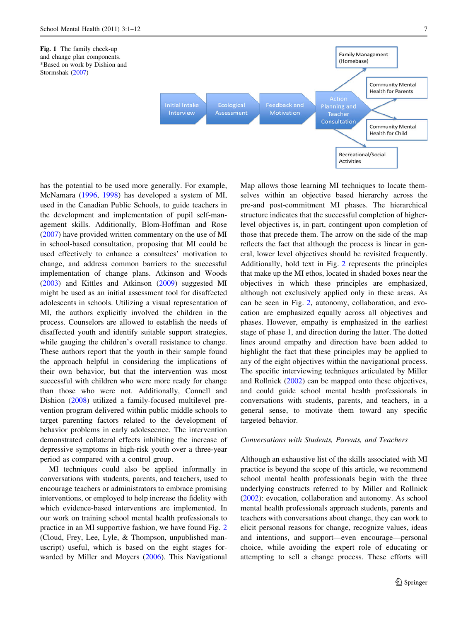<span id="page-6-0"></span>

has the potential to be used more generally. For example, McNamara ([1996,](#page-10-0) [1998](#page-10-0)) has developed a system of MI, used in the Canadian Public Schools, to guide teachers in the development and implementation of pupil self-management skills. Additionally, Blom-Hoffman and Rose [\(2007](#page-9-0)) have provided written commentary on the use of MI in school-based consultation, proposing that MI could be used effectively to enhance a consultees' motivation to change, and address common barriers to the successful implementation of change plans. Atkinson and Woods [\(2003](#page-9-0)) and Kittles and Atkinson ([2009\)](#page-10-0) suggested MI might be used as an initial assessment tool for disaffected adolescents in schools. Utilizing a visual representation of MI, the authors explicitly involved the children in the process. Counselors are allowed to establish the needs of disaffected youth and identify suitable support strategies, while gauging the children's overall resistance to change. These authors report that the youth in their sample found the approach helpful in considering the implications of their own behavior, but that the intervention was most successful with children who were more ready for change than those who were not. Additionally, Connell and Dishion ([2008\)](#page-9-0) utilized a family-focused multilevel prevention program delivered within public middle schools to target parenting factors related to the development of behavior problems in early adolescence. The intervention demonstrated collateral effects inhibiting the increase of depressive symptoms in high-risk youth over a three-year period as compared with a control group.

MI techniques could also be applied informally in conversations with students, parents, and teachers, used to encourage teachers or administrators to embrace promising interventions, or employed to help increase the fidelity with which evidence-based interventions are implemented. In our work on training school mental health professionals to practice in an MI supportive fashion, we have found Fig. [2](#page-7-0) (Cloud, Frey, Lee, Lyle, & Thompson, unpublished manuscript) useful, which is based on the eight stages forwarded by Miller and Moyers [\(2006](#page-10-0)). This Navigational Map allows those learning MI techniques to locate themselves within an objective based hierarchy across the pre-and post-commitment MI phases. The hierarchical structure indicates that the successful completion of higherlevel objectives is, in part, contingent upon completion of those that precede them. The arrow on the side of the map reflects the fact that although the process is linear in general, lower level objectives should be revisited frequently. Additionally, bold text in Fig. [2](#page-7-0) represents the principles that make up the MI ethos, located in shaded boxes near the objectives in which these principles are emphasized, although not exclusively applied only in these areas. As can be seen in Fig. [2](#page-7-0), autonomy, collaboration, and evocation are emphasized equally across all objectives and phases. However, empathy is emphasized in the earliest stage of phase 1, and direction during the latter. The dotted lines around empathy and direction have been added to highlight the fact that these principles may be applied to any of the eight objectives within the navigational process. The specific interviewing techniques articulated by Miller and Rollnick ([2002\)](#page-10-0) can be mapped onto these objectives, and could guide school mental health professionals in conversations with students, parents, and teachers, in a general sense, to motivate them toward any specific targeted behavior.

## Conversations with Students, Parents, and Teachers

Although an exhaustive list of the skills associated with MI practice is beyond the scope of this article, we recommend school mental health professionals begin with the three underlying constructs referred to by Miller and Rollnick [\(2002](#page-10-0)): evocation, collaboration and autonomy. As school mental health professionals approach students, parents and teachers with conversations about change, they can work to elicit personal reasons for change, recognize values, ideas and intentions, and support—even encourage—personal choice, while avoiding the expert role of educating or attempting to sell a change process. These efforts will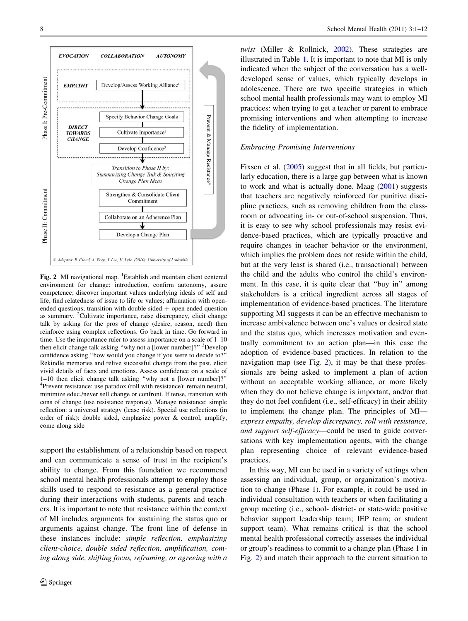<span id="page-7-0"></span>

Fig. 2 MI navigational map. <sup>1</sup>Establish and maintain client centered environment for change: introduction, confirm autonomy, assure competence; discover important values underlying ideals of self and life, find relatedness of issue to life or values; affirmation with openended questions; transition with double sided  $+$  open ended question as summary. <sup>2</sup>Cultivate importance, raise discrepancy, elicit change talk by asking for the pros of change (desire, reason, need) then reinforce using complex reflections. Go back in time. Go forward in time. Use the importance ruler to assess importance on a scale of 1–10 then elicit change talk asking "why not a [lower number]?" <sup>3</sup>Develop confidence asking ''how would you change if you were to decide to?'' Rekindle memories and relive successful change from the past, elicit vivid details of facts and emotions. Assess confidence on a scale of 1–10 then elicit change talk asking ''why not a [lower number]?'' 4 Prevent resistance: use paradox (roll with resistance): remain neutral, minimize educ./never sell change or confront. If tense, transition with cons of change (use resistance response). Manage resistance: simple reflection: a universal strategy (lease risk). Special use reflections (in order of risk): double sided, emphasize power & control, amplify, come along side

support the establishment of a relationship based on respect and can communicate a sense of trust in the recipient's ability to change. From this foundation we recommend school mental health professionals attempt to employ those skills used to respond to resistance as a general practice during their interactions with students, parents and teachers. It is important to note that resistance within the context of MI includes arguments for sustaining the status quo or arguments against change. The front line of defense in these instances include: simple reflection, emphasizing client-choice, double sided reflection, amplification, coming along side, shifting focus, reframing, or agreeing with a twist (Miller & Rollnick, [2002\)](#page-10-0). These strategies are illustrated in Table [1](#page-8-0). It is important to note that MI is only indicated when the subject of the conversation has a welldeveloped sense of values, which typically develops in adolescence. There are two specific strategies in which school mental health professionals may want to employ MI practices: when trying to get a teacher or parent to embrace promising interventions and when attempting to increase the fidelity of implementation.

#### Embracing Promising Interventions

Fixsen et al. [\(2005](#page-10-0)) suggest that in all fields, but particularly education, there is a large gap between what is known to work and what is actually done. Maag ([2001\)](#page-10-0) suggests that teachers are negatively reinforced for punitive discipline practices, such as removing children from the classroom or advocating in- or out-of-school suspension. Thus, it is easy to see why school professionals may resist evidence-based practices, which are typically proactive and require changes in teacher behavior or the environment, which implies the problem does not reside within the child, but at the very least is shared (i.e., transactional) between the child and the adults who control the child's environment. In this case, it is quite clear that ''buy in'' among stakeholders is a critical ingredient across all stages of implementation of evidence-based practices. The literature supporting MI suggests it can be an effective mechanism to increase ambivalence between one's values or desired state and the status quo, which increases motivation and eventually commitment to an action plan—in this case the adoption of evidence-based practices. In relation to the navigation map (see Fig. 2), it may be that these professionals are being asked to implement a plan of action without an acceptable working alliance, or more likely when they do not believe change is important, and/or that they do not feel confident (i.e., self-efficacy) in their ability to implement the change plan. The principles of MI express empathy, develop discrepancy, roll with resistance, and support self-efficacy—could be used to guide conversations with key implementation agents, with the change plan representing choice of relevant evidence-based practices.

In this way, MI can be used in a variety of settings when assessing an individual, group, or organization's motivation to change (Phase 1). For example, it could be used in individual consultation with teachers or when facilitating a group meeting (i.e., school- district- or state-wide positive behavior support leadership team; IEP team; or student support team). What remains critical is that the school mental health professional correctly assesses the individual or group's readiness to commit to a change plan (Phase 1 in Fig. 2) and match their approach to the current situation to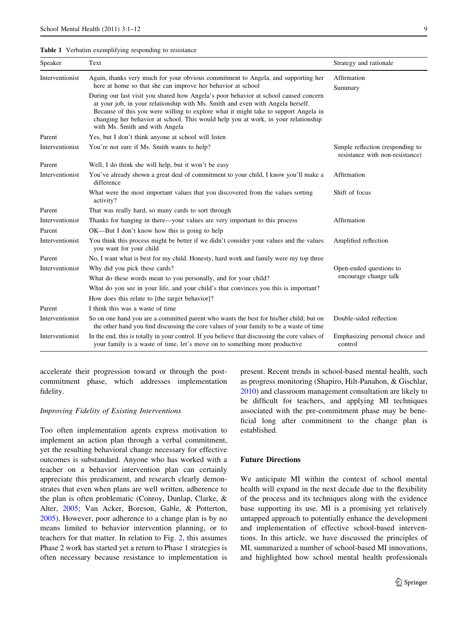#### <span id="page-8-0"></span>Table 1 Verbatim exemplifying responding to resistance

| Speaker         | Text                                                                                                                                                                                                                                                                                                                                                                                  | Strategy and rationale                                              |
|-----------------|---------------------------------------------------------------------------------------------------------------------------------------------------------------------------------------------------------------------------------------------------------------------------------------------------------------------------------------------------------------------------------------|---------------------------------------------------------------------|
| Interventionist | Again, thanks very much for your obvious commitment to Angela, and supporting her<br>here at home so that she can improve her behavior at school                                                                                                                                                                                                                                      | Affirmation<br>Summary                                              |
|                 | During our last visit you shared how Angela's poor behavior at school caused concern<br>at your job, in your relationship with Ms. Smith and even with Angela herself.<br>Because of this you were willing to explore what it might take to support Angela in<br>changing her behavior at school. This would help you at work, in your relationship<br>with Ms. Smith and with Angela |                                                                     |
| Parent          | Yes, but I don't think anyone at school will listen                                                                                                                                                                                                                                                                                                                                   |                                                                     |
| Interventionist | You're not sure if Ms. Smith wants to help?                                                                                                                                                                                                                                                                                                                                           | Simple reflection (responding to<br>resistance with non-resistance) |
| Parent          | Well, I do think she will help, but it won't be easy                                                                                                                                                                                                                                                                                                                                  |                                                                     |
| Interventionist | You've already shown a great deal of commitment to your child, I know you'll make a<br>difference                                                                                                                                                                                                                                                                                     | Affirmation                                                         |
|                 | What were the most important values that you discovered from the values sorting<br>activity?                                                                                                                                                                                                                                                                                          | Shift of focus                                                      |
| Parent          | That was really hard, so many cards to sort through                                                                                                                                                                                                                                                                                                                                   |                                                                     |
| Interventionist | Thanks for hanging in there—your values are very important to this process                                                                                                                                                                                                                                                                                                            | Affirmation                                                         |
| Parent          | OK—But I don't know how this is going to help                                                                                                                                                                                                                                                                                                                                         |                                                                     |
| Interventionist | You think this process might be better if we didn't consider your values and the values<br>you want for your child                                                                                                                                                                                                                                                                    | Amplified reflection                                                |
| Parent          | No, I want what is best for my child. Honesty, hard work and family were my top three                                                                                                                                                                                                                                                                                                 |                                                                     |
| Interventionist | Why did you pick these cards?                                                                                                                                                                                                                                                                                                                                                         | Open-ended questions to<br>encourage change talk                    |
|                 | What do these words mean to you personally, and for your child?                                                                                                                                                                                                                                                                                                                       |                                                                     |
|                 | What do you see in your life, and your child's that convinces you this is important?                                                                                                                                                                                                                                                                                                  |                                                                     |
|                 | How does this relate to [the target behavior]?                                                                                                                                                                                                                                                                                                                                        |                                                                     |
| Parent          | I think this was a waste of time                                                                                                                                                                                                                                                                                                                                                      |                                                                     |
| Interventionist | So on one hand you are a committed parent who wants the best for his/her child; but on<br>the other hand you find discussing the core values of your family to be a waste of time                                                                                                                                                                                                     | Double-sided reflection                                             |
| Interventionist | In the end, this is totally in your control. If you believe that discussing the core values of<br>your family is a waste of time, let's move on to something more productive                                                                                                                                                                                                          | Emphasizing personal choice and<br>control                          |

accelerate their progression toward or through the postcommitment phase, which addresses implementation fidelity.

## Improving Fidelity of Existing Interventions

Too often implementation agents express motivation to implement an action plan through a verbal commitment, yet the resulting behavioral change necessary for effective outcomes is substandard. Anyone who has worked with a teacher on a behavior intervention plan can certainly appreciate this predicament, and research clearly demonstrates that even when plans are well written, adherence to the plan is often problematic (Conroy, Dunlap, Clarke, & Alter, [2005;](#page-9-0) Van Acker, Boreson, Gable, & Potterton, [2005\)](#page-11-0). However, poor adherence to a change plan is by no means limited to behavior intervention planning, or to teachers for that matter. In relation to Fig. [2](#page-7-0), this assumes Phase 2 work has started yet a return to Phase 1 strategies is often necessary because resistance to implementation is present. Recent trends in school-based mental health, such as progress monitoring (Shapiro, Hilt-Panahon, & Gischlar, [2010](#page-11-0)) and classroom management consultation are likely to be difficult for teachers, and applying MI techniques associated with the pre-commitment phase may be beneficial long after commitment to the change plan is established.

## Future Directions

We anticipate MI within the context of school mental health will expand in the next decade due to the flexibility of the process and its techniques along with the evidence base supporting its use. MI is a promising yet relatively untapped approach to potentially enhance the development and implementation of effective school-based interventions. In this article, we have discussed the principles of MI, summarized a number of school-based MI innovations, and highlighted how school mental health professionals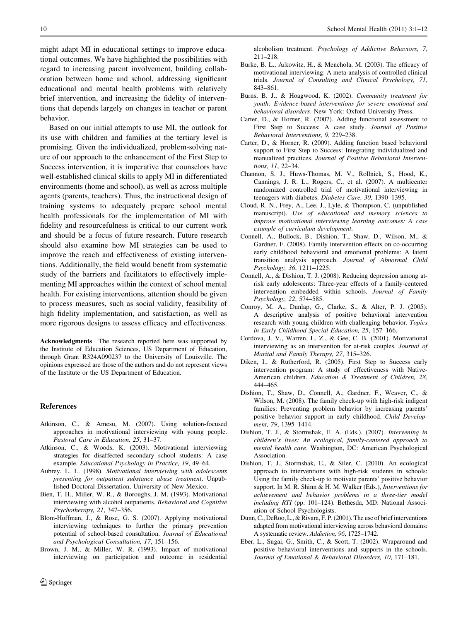<span id="page-9-0"></span>might adapt MI in educational settings to improve educational outcomes. We have highlighted the possibilities with regard to increasing parent involvement, building collaboration between home and school, addressing significant educational and mental health problems with relatively brief intervention, and increasing the fidelity of interventions that depends largely on changes in teacher or parent behavior.

Based on our initial attempts to use MI, the outlook for its use with children and families at the tertiary level is promising. Given the individualized, problem-solving nature of our approach to the enhancement of the First Step to Success intervention, it is imperative that counselors have well-established clinical skills to apply MI in differentiated environments (home and school), as well as across multiple agents (parents, teachers). Thus, the instructional design of training systems to adequately prepare school mental health professionals for the implementation of MI with fidelity and resourcefulness is critical to our current work and should be a focus of future research. Future research should also examine how MI strategies can be used to improve the reach and effectiveness of existing interventions. Additionally, the field would benefit from systematic study of the barriers and facilitators to effectively implementing MI approaches within the context of school mental health. For existing interventions, attention should be given to process measures, such as social validity, feasibility of high fidelity implementation, and satisfaction, as well as more rigorous designs to assess efficacy and effectiveness.

Acknowledgments The research reported here was supported by the Institute of Education Sciences, US Department of Education, through Grant R324A090237 to the University of Louisville. The opinions expressed are those of the authors and do not represent views of the Institute or the US Department of Education.

## References

- Atkinson, C., & Amesu, M. (2007). Using solution-focused approaches in motivational interviewing with young people. Pastoral Care in Education, 25, 31–37.
- Atkinson, C., & Woods, K. (2003). Motivational interviewing strategies for disaffected secondary school students: A case example. Educational Psychology in Practice, 19, 49–64.
- Aubrey, L. L. (1998). Motivational interviewing with adolescents presenting for outpatient substance abuse treatment. Unpublished Doctoral Dissertation, University of New Mexico.
- Bien, T. H., Miller, W. R., & Boroughs, J. M. (1993). Motivational interviewing with alcohol outpatients. Behavioral and Cognitive Psychotherapy, 21, 347–356.
- Blom-Hoffman, J., & Rose, G. S. (2007). Applying motivational interviewing techniques to further the primary prevention potential of school-based consultation. Journal of Educational and Psychological Consultation, 17, 151–156.
- Brown, J. M., & Miller, W. R. (1993). Impact of motivational interviewing on participation and outcome in residential

alcoholism treatment. Psychology of Addictive Behaviors, 7, 211–218.

- Burke, B. L., Arkowitz, H., & Menchola, M. (2003). The efficacy of motivational interviewing: A meta-analysis of controlled clinical trials. Journal of Consulting and Clinical Psychology, 71, 843–861.
- Burns, B. J., & Hoagwood, K. (2002). Community treatment for youth: Evidence-based interventions for severe emotional and behavioral disorders. New York: Oxford University Press.
- Carter, D., & Horner, R. (2007). Adding functional assessment to First Step to Success: A case study. Journal of Positive Behavioral Interventions, 9, 229–238.
- Carter, D., & Horner, R. (2009). Adding function based behavioral support to First Step to Success: Integrating individualized and manualized practices. Journal of Positive Behavioral Interventions, 11, 22–34.
- Channon, S. J., Huws-Thomas, M. V., Rollnick, S., Hood, K., Cannings, J. R. L., Rogers, C., et al. (2007). A multicenter randomized controlled trial of motivational interviewing in teenagers with diabetes. Diabetes Care, 30, 1390–1395.
- Cloud, R. N., Frey, A., Lee, J., Lyle, & Thompson, C. (unpublished manuscript). Use of educational and memory sciences to improve motivational interviewing learning outcomes: A case example of curriculum development.
- Connell, A., Bullock, B., Dishion, T., Shaw, D., Wilson, M., & Gardner, F. (2008). Family intervention effects on co-occurring early childhood behavioral and emotional problems: A latent transition analysis approach. Journal of Abnormal Child Psychology, 36, 1211–1225.
- Connell, A., & Dishion, T. J. (2008). Reducing depression among atrisk early adolescents: Three-year effects of a family-centered intervention embedded within schools. Journal of Family Psychology, 22, 574–585.
- Conroy, M. A., Dunlap, G., Clarke, S., & Alter, P. J. (2005). A descriptive analysis of positive behavioral intervention research with young children with challenging behavior. Topics in Early Childhood Special Education, 25, 157–166.
- Cordova, J. V., Warren, L. Z., & Gee, C. B. (2001). Motivational interviewing as an intervention for at-risk couples. Journal of Marital and Family Therapy, 27, 315–326.
- Diken, I., & Rutherford, R. (2005). First Step to Success early intervention program: A study of effectiveness with Native-American children. Education & Treatment of Children, 28, 444–465.
- Dishion, T., Shaw, D., Connell, A., Gardner, F., Weaver, C., & Wilson, M. (2008). The family check-up with high-risk indigent families: Preventing problem behavior by increasing parents' positive behavior support in early childhood. Child Development, 79, 1395–1414.
- Dishion, T. J., & Stormshak, E. A. (Eds.). (2007). Intervening in children's lives: An ecological, family-centered approach to mental health care. Washington, DC: American Psychological Association.
- Dishion, T. J., Stormshak, E., & Siler, C. (2010). An ecological approach to interventions with high-risk students in schools: Using the family check-up to motivate parents' positive behavior support. In M. R. Shinn & H. M. Walker (Eds.), Interventions for achievement and behavior problems in a three-tier model including RTI (pp. 101–124). Bethesda, MD: National Association of School Psychologists.
- Dunn, C., DeRoo, L., & Rivara, F. P. (2001). The use of brief interventions adapted from motivational interviewing across behavioral domains: A systematic review. Addiction, 96, 1725–1742.
- Eber, L., Sugai, G., Smith, C., & Scott, T. (2002). Wraparound and positive behavioral interventions and supports in the schools. Journal of Emotional & Behavioral Disorders, 10, 171–181.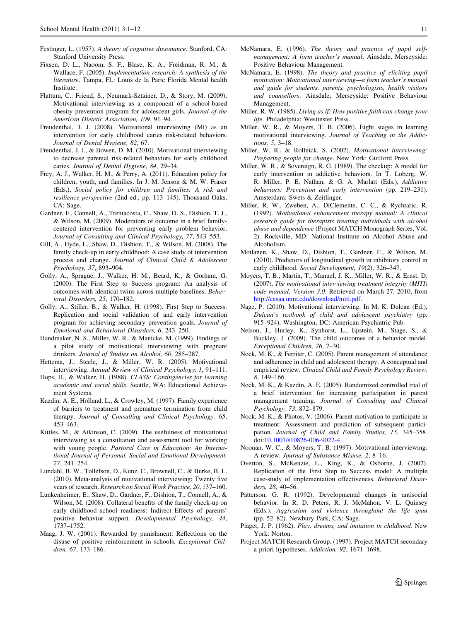- <span id="page-10-0"></span>Festinger, L. (1957). A theory of cognitive dissonance. Stanford, CA: Stanford University Press.
- Fixsen, D. L., Naoom, S. F., Blase, K. A., Freidman, R. M., & Wallace, F. (2005). Implementation research: A synthesis of the literature. Tampa, FL: Louis de la Parte Florida Mental health Institute.
- Flattum, C., Friend, S., Neumark-Sztainer, D., & Story, M. (2009). Motivational interviewing as a component of a school-based obesity prevention program for adolescent girls. Journal of the American Dietetic Association, 109, 91–94.
- Freudenthal, J. J. (2008). Motivational interviewing (Mi) as an intervention for early childhood caries risk-related behaviors. Journal of Dental Hygiene, 82, 67.
- Freudenthal, J. J., & Bowen, D. M. (2010). Motivational interviewing to decrease parental risk-related behaviors for early childhood caries. Journal of Dental Hygiene, 84, 29–34.
- Frey, A. J., Walker, H. M., & Perry, A. (2011). Education policy for children, youth, and families. In J. M. Jenson & M. W. Fraser (Eds.), Social policy for children and families: A risk and resilience perspective (2nd ed., pp. 113–145). Thousand Oaks, CA: Sage.
- Gardner, F., Connell, A., Trentacosta, C., Shaw, D. S., Dishion, T. J., & Wilson, M. (2009). Moderators of outcome in a brief familycentered intervention for preventing early problem behavior. Journal of Consulting and Clinical Psychology, 77, 543–553.
- Gill, A., Hyde, L., Shaw, D., Dishion, T., & Wilson, M. (2008). The family check-up in early childhood: A case study of intervention process and change. Journal of Clinical Child & Adolescent Psychology, 37, 893–904.
- Golly, A., Sprague, J., Walker, H. M., Beard, K., & Gorham, G. (2000). The First Step to Success program: An analysis of outcomes with identical twins across multiple baselines. Behavioral Disorders, 25, 170–182.
- Golly, A., Stiller, B., & Walker, H. (1998). First Step to Success: Replication and social validation of and early intervention program for achieving secondary prevention goals. Journal of Emotional and Behavioral Disorders, 6, 243–250.
- Handmaker, N. S., Miller, W. R., & Manicke, M. (1999). Findings of a pilot study of motivational interviewing with pregnant drinkers. Journal of Studies on Alcohol, 60, 285–287.
- Hettema, J., Steele, J., & Miller, W. R. (2005). Motivational interviewing. Annual Review of Clinical Psychology, 1, 91–111.
- Hops, H., & Walker, H. (1988). CLASS: Contingencies for learning academic and social skills. Seattle, WA: Educational Achievement Systems.
- Kazdin, A. E., Holland, L., & Crowley, M. (1997). Family experience of barriers to treatment and premature termination from child therapy. Journal of Consulting and Clinical Psychology, 65, 453–463.
- Kittles, M., & Atkinson, C. (2009). The usefulness of motivational interviewing as a consultation and assessment tool for working with young people. Pastoral Care in Education: An International Journal of Personal, Social and Emotional Development, 27, 241–254.
- Lundahl, B. W., Tollefson, D., Kunz, C., Brownell, C., & Burke, B. L. (2010). Meta-analysis of motivational interviewing: Twenty five years of research. Research on Social Work Practice, 20, 137–160.
- Lunkenheimer, E., Shaw, D., Gardner, F., Dishion, T., Connell, A., & Wilson, M. (2008). Collateral benefits of the family check-up on early childhood school readiness: Indirect Effects of parents' positive behavior support. Developmental Psychology, 44, 1737–1752.
- Maag, J. W. (2001). Rewarded by punishment: Reflections on the disuse of positive reinforcement in schools. Exceptional Children, 67, 173–186.
- McNamara, E. (1996). The theory and practice of pupil selfmanagement: A form teacher's manual. Ainsdale, Merseyside: Positive Behaviour Management.
- McNamara, E. (1998). The theory and practice of eliciting pupil motivation: Motivational interviewing—a form teacher's manual and guide for students, parents, psychologists, health visitors and counsellors. Ainsdale, Merseyside: Positive Behaviour Management.
- Miller, R. W. (1985). Living as if: How positive faith can change your life. Philadelphia: Westinster Press.
- Miller, W. R., & Moyers, T. B. (2006). Eight stages in learning motivational interviewing. Journal of Teaching in the Addictions, 5, 3–18.
- Miller, W. R., & Rollnick, S. (2002). Motivational interviewing: Preparing people for change. New York: Guilford Press.
- Miller, W. R., & Sovereign, R. G. (1989). The checkup: A model for early intervention in addictive behaviors. In T. Loberg, W. R. Miller, P. E. Nathan, & G. A. Marlatt (Eds.), Addictive behaviors: Prevention and early intervention (pp. 219–231). Amsterdam: Swets & Zeitlinger.
- Miller, R. W., Zweben, A., DiClemente, C. C., & Rychtaric, R. (1992). Motivational enhancement therapy manual: A clinical research guide for therapists treating individuals with alcohol abuse and dependence (Project MATCH Monograph Series, Vol. 2). Rockville, MD: National Institute on Alcohol Abuse and Alcoholism.
- Moilanen, K., Shaw, D., Dishion, T., Gardner, F., & Wilson, M. (2010). Predictors of longitudinal growth in inhibitory control in early childhood. Social Development, 19(2), 326–347.
- Moyers, T. B., Martin, T., Manuel, J. K., Miller, W. R., & Ernst, D. (2007). The motivational interviewing treatment integrity (MITI) code manual: Version 3.0. Retrieved on March 27, 2010, from [http://casaa.unm.edu/download/miti.pdf.](http://casaa.unm.edu/download/miti.pdf)
- Nage, P. (2010). Motivational interviewing. In M. K. Dulcan (Ed.), Dulcan's textbook of child and adolescent psychiatry (pp. 915–924). Washington, DC: American Psychiatric Pub.
- Nelson, J., Hurley, K., Synhorst, L., Epstein, M., Stage, S., & Buckley, J. (2009). The child outcomes of a behavior model. Exceptional Children, 76, 7–30.
- Nock, M. K., & Ferriter, C. (2005). Parent management of attendance and adherence in child and adolescent therapy: A conceptual and empirical review. Clinical Child and Family Psychology Review, 8, 149–166.
- Nock, M. K., & Kazdin, A. E. (2005). Randomized controlled trial of a brief intervention for increasing participation in parent management training. Journal of Consulting and Clinical Psychology, 73, 872–879.
- Nock, M. K., & Photos, V. (2006). Parent motivation to participate in treatment: Assessment and prediction of subsequent participation. Journal of Child and Family Studies, 15, 345–358. doi[:10.1007/s10826-006-9022-4](http://dx.doi.org/10.1007/s10826-006-9022-4).
- Noonan, W. C., & Moyers, T. B. (1997). Motivational interviewing: A review. Journal of Substance Misuse, 2, 8–16.
- Overton, S., McKenzie, L., King, K., & Osborne, J. (2002). Replication of the First Step to Success model: A multiple case-study of implementation effectiveness. Behavioral Disorders, 28, 40–56.
- Patterson, G. R. (1992). Developmental changes in antisocial behavior. In R. D. Peters, R. J. McMahon, V. L. Quinsey (Eds.), Aggression and violence throughout the life span (pp. 52–82). Newbury Park, CA: Sage.
- Piaget, J. P. (1962). Play, dreams, and imitation in childhood. New York: Norton.
- Project MATCH Research Group. (1997). Project MATCH secondary a priori hypotheses. Addiction, 92, 1671–1698.